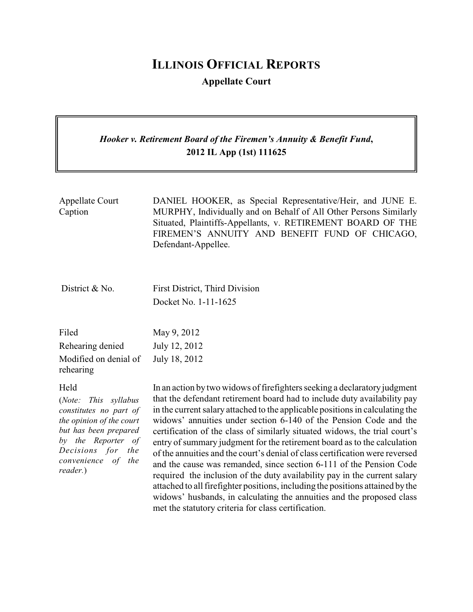# **ILLINOIS OFFICIAL REPORTS**

**Appellate Court**

# *Hooker v. Retirement Board of the Firemen's Annuity & Benefit Fund***, 2012 IL App (1st) 111625**

| Appellate Court | DANIEL HOOKER, as Special Representative/Heir, and JUNE E.        |
|-----------------|-------------------------------------------------------------------|
| Caption         | MURPHY, Individually and on Behalf of All Other Persons Similarly |
|                 | Situated, Plaintiffs-Appellants, v. RETIREMENT BOARD OF THE       |
|                 | FIREMEN'S ANNUITY AND BENEFIT FUND OF CHICAGO,                    |
|                 | Defendant-Appellee.                                               |
|                 |                                                                   |

District & No. First District, Third Division Docket No. 1-11-1625

| Filed                 | May 9, 2012   |
|-----------------------|---------------|
| Rehearing denied      | July 12, 2012 |
| Modified on denial of | July 18, 2012 |
| rehearing             |               |

### Held

(*Note: This syllabus constitutes no part of the opinion of the court but has been prepared by the Reporter of Decisions for the convenience of the reader.*)

In an action by two widows of firefighters seeking a declaratory judgment that the defendant retirement board had to include duty availability pay in the current salary attached to the applicable positions in calculating the widows' annuities under section 6-140 of the Pension Code and the certification of the class of similarly situated widows, the trial court's entry of summary judgment for the retirement board as to the calculation of the annuities and the court's denial of class certification were reversed and the cause was remanded, since section 6-111 of the Pension Code required the inclusion of the duty availability pay in the current salary attached to all firefighter positions, including the positions attained bythe widows' husbands, in calculating the annuities and the proposed class met the statutory criteria for class certification.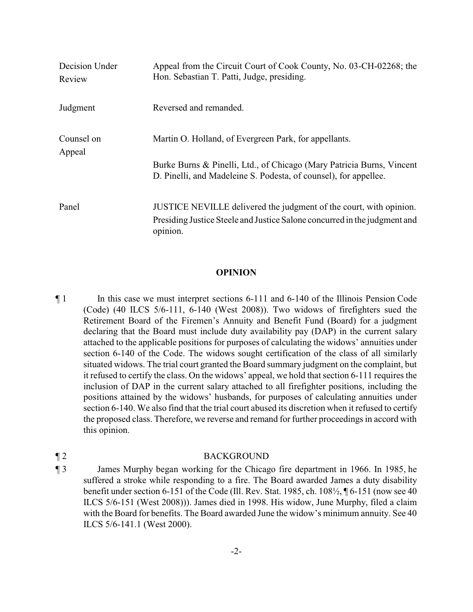| Decision Under<br>Review | Appeal from the Circuit Court of Cook County, No. 03-CH-02268; the<br>Hon. Sebastian T. Patti, Judge, presiding.                          |
|--------------------------|-------------------------------------------------------------------------------------------------------------------------------------------|
| Judgment                 | Reversed and remanded.                                                                                                                    |
| Counsel on<br>Appeal     | Martin O. Holland, of Evergreen Park, for appellants.                                                                                     |
|                          | Burke Burns & Pinelli, Ltd., of Chicago (Mary Patricia Burns, Vincent<br>D. Pinelli, and Madeleine S. Podesta, of counsel), for appellee. |
| Panel                    | JUSTICE NEVILLE delivered the judgment of the court, with opinion.                                                                        |
|                          | Presiding Justice Steele and Justice Salone concurred in the judgment and<br>opinion.                                                     |

## **OPINION**

¶ 1 In this case we must interpret sections 6-111 and 6-140 of the Illinois Pension Code (Code) (40 ILCS 5/6-111, 6-140 (West 2008)). Two widows of firefighters sued the Retirement Board of the Firemen's Annuity and Benefit Fund (Board) for a judgment declaring that the Board must include duty availability pay (DAP) in the current salary attached to the applicable positions for purposes of calculating the widows' annuities under section 6-140 of the Code. The widows sought certification of the class of all similarly situated widows. The trial court granted the Board summary judgment on the complaint, but it refused to certify the class. On the widows' appeal, we hold that section 6-111 requires the inclusion of DAP in the current salary attached to all firefighter positions, including the positions attained by the widows' husbands, for purposes of calculating annuities under section 6-140. We also find that the trial court abused its discretion when it refused to certify the proposed class. Therefore, we reverse and remand for further proceedings in accord with this opinion.

## ¶ 2 BACKGROUND

¶ 3 James Murphy began working for the Chicago fire department in 1966. In 1985, he suffered a stroke while responding to a fire. The Board awarded James a duty disability benefit under section 6-151 of the Code (Ill. Rev. Stat. 1985, ch. 108½, ¶ 6-151 (now see 40 ILCS 5/6-151 (West 2008))). James died in 1998. His widow, June Murphy, filed a claim with the Board for benefits. The Board awarded June the widow's minimum annuity. See 40 ILCS 5/6-141.1 (West 2000).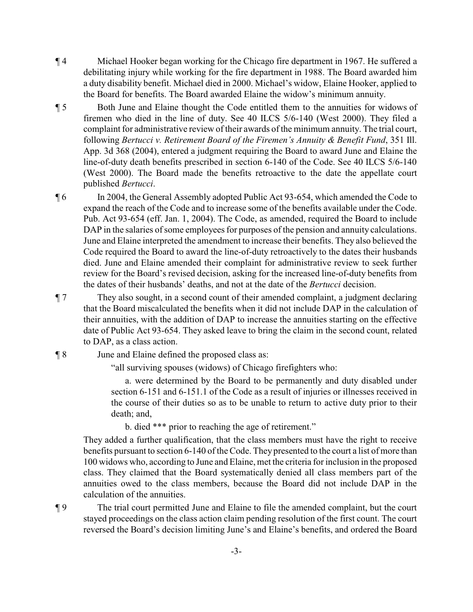- ¶ 4 Michael Hooker began working for the Chicago fire department in 1967. He suffered a debilitating injury while working for the fire department in 1988. The Board awarded him a duty disability benefit. Michael died in 2000. Michael's widow, Elaine Hooker, applied to the Board for benefits. The Board awarded Elaine the widow's minimum annuity.
- ¶ 5 Both June and Elaine thought the Code entitled them to the annuities for widows of firemen who died in the line of duty. See 40 ILCS 5/6-140 (West 2000). They filed a complaint for administrative review of their awards of the minimum annuity. The trial court, following *Bertucci v. Retirement Board of the Firemen's Annuity & Benefit Fund*, 351 Ill. App. 3d 368 (2004), entered a judgment requiring the Board to award June and Elaine the line-of-duty death benefits prescribed in section 6-140 of the Code. See 40 ILCS 5/6-140 (West 2000). The Board made the benefits retroactive to the date the appellate court published *Bertucci*.
- ¶ 6 In 2004, the General Assembly adopted Public Act 93-654, which amended the Code to expand the reach of the Code and to increase some of the benefits available under the Code. Pub. Act 93-654 (eff. Jan. 1, 2004). The Code, as amended, required the Board to include DAP in the salaries of some employees for purposes of the pension and annuity calculations. June and Elaine interpreted the amendment to increase their benefits. They also believed the Code required the Board to award the line-of-duty retroactively to the dates their husbands died. June and Elaine amended their complaint for administrative review to seek further review for the Board's revised decision, asking for the increased line-of-duty benefits from the dates of their husbands' deaths, and not at the date of the *Bertucci* decision.
- ¶ 7 They also sought, in a second count of their amended complaint, a judgment declaring that the Board miscalculated the benefits when it did not include DAP in the calculation of their annuities, with the addition of DAP to increase the annuities starting on the effective date of Public Act 93-654. They asked leave to bring the claim in the second count, related to DAP, as a class action.
- ¶ 8 June and Elaine defined the proposed class as:

"all surviving spouses (widows) of Chicago firefighters who:

a. were determined by the Board to be permanently and duty disabled under section 6-151 and 6-151.1 of the Code as a result of injuries or illnesses received in the course of their duties so as to be unable to return to active duty prior to their death; and,

b. died \*\*\* prior to reaching the age of retirement."

They added a further qualification, that the class members must have the right to receive benefits pursuant to section 6-140 of the Code. They presented to the court a list of more than 100 widows who, according to June and Elaine, met the criteria for inclusion in the proposed class. They claimed that the Board systematically denied all class members part of the annuities owed to the class members, because the Board did not include DAP in the calculation of the annuities.

¶ 9 The trial court permitted June and Elaine to file the amended complaint, but the court stayed proceedings on the class action claim pending resolution of the first count. The court reversed the Board's decision limiting June's and Elaine's benefits, and ordered the Board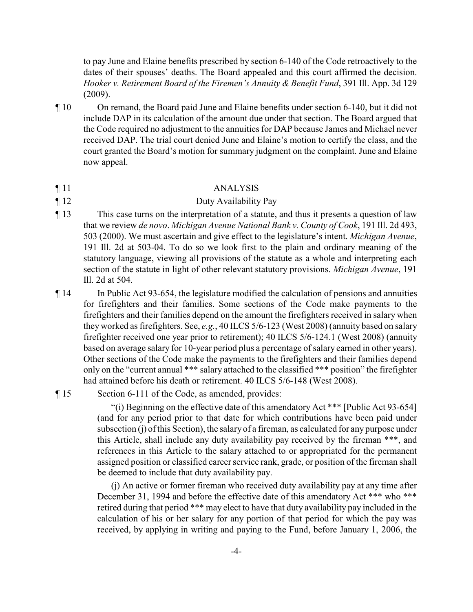to pay June and Elaine benefits prescribed by section 6-140 of the Code retroactively to the dates of their spouses' deaths. The Board appealed and this court affirmed the decision. *Hooker v. Retirement Board of the Firemen's Annuity & Benefit Fund*, 391 Ill. App. 3d 129 (2009).

¶ 10 On remand, the Board paid June and Elaine benefits under section 6-140, but it did not include DAP in its calculation of the amount due under that section. The Board argued that the Code required no adjustment to the annuities for DAP because James and Michael never received DAP. The trial court denied June and Elaine's motion to certify the class, and the court granted the Board's motion for summary judgment on the complaint. June and Elaine now appeal.

### ¶ 11 ANALYSIS

- ¶ 12 Duty Availability Pay
- ¶ 13 This case turns on the interpretation of a statute, and thus it presents a question of law that we review *de novo*. *Michigan Avenue National Bank v. County of Cook*, 191 Ill. 2d 493, 503 (2000). We must ascertain and give effect to the legislature's intent. *Michigan Avenue*, 191 Ill. 2d at 503-04. To do so we look first to the plain and ordinary meaning of the statutory language, viewing all provisions of the statute as a whole and interpreting each section of the statute in light of other relevant statutory provisions. *Michigan Avenue*, 191 Ill. 2d at 504.
- ¶ 14 In Public Act 93-654, the legislature modified the calculation of pensions and annuities for firefighters and their families. Some sections of the Code make payments to the firefighters and their families depend on the amount the firefighters received in salary when they worked as firefighters. See, *e.g.*, 40 ILCS 5/6-123 (West 2008) (annuity based on salary firefighter received one year prior to retirement); 40 ILCS 5/6-124.1 (West 2008) (annuity based on average salary for 10-year period plus a percentage of salary earned in other years). Other sections of the Code make the payments to the firefighters and their families depend only on the "current annual \*\*\* salary attached to the classified \*\*\* position" the firefighter had attained before his death or retirement. 40 ILCS 5/6-148 (West 2008).

## ¶ 15 Section 6-111 of the Code, as amended, provides:

"(i) Beginning on the effective date of this amendatory Act \*\*\* [Public Act 93-654] (and for any period prior to that date for which contributions have been paid under subsection (j) of this Section), the salary of a fireman, as calculated for any purpose under this Article, shall include any duty availability pay received by the fireman \*\*\*, and references in this Article to the salary attached to or appropriated for the permanent assigned position or classified career service rank, grade, or position of the fireman shall be deemed to include that duty availability pay.

(j) An active or former fireman who received duty availability pay at any time after December 31, 1994 and before the effective date of this amendatory Act \*\*\* who \*\*\* retired during that period \*\*\* may elect to have that duty availability pay included in the calculation of his or her salary for any portion of that period for which the pay was received, by applying in writing and paying to the Fund, before January 1, 2006, the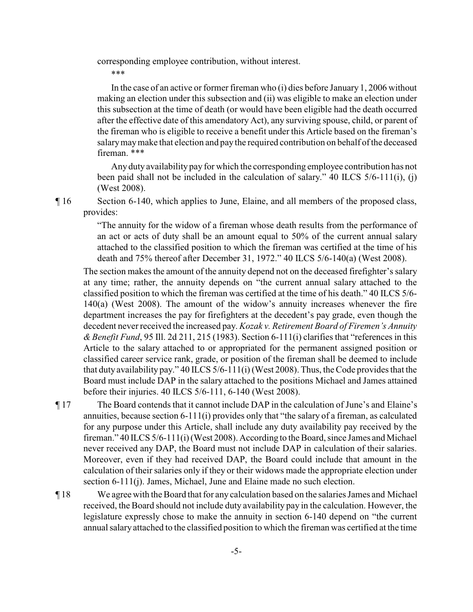corresponding employee contribution, without interest.

\*\*\*

In the case of an active or former fireman who (i) dies before January 1, 2006 without making an election under this subsection and (ii) was eligible to make an election under this subsection at the time of death (or would have been eligible had the death occurred after the effective date of this amendatory Act), any surviving spouse, child, or parent of the fireman who is eligible to receive a benefit under this Article based on the fireman's salarymaymake that election and pay the required contribution on behalf of the deceased fireman. \*\*\*

Any duty availability pay for which the corresponding employee contribution has not been paid shall not be included in the calculation of salary." 40 ILCS 5/6-111(i), (j) (West 2008).

¶ 16 Section 6-140, which applies to June, Elaine, and all members of the proposed class, provides:

> "The annuity for the widow of a fireman whose death results from the performance of an act or acts of duty shall be an amount equal to 50% of the current annual salary attached to the classified position to which the fireman was certified at the time of his death and 75% thereof after December 31, 1972." 40 ILCS 5/6-140(a) (West 2008).

The section makes the amount of the annuity depend not on the deceased firefighter's salary at any time; rather, the annuity depends on "the current annual salary attached to the classified position to which the fireman was certified at the time of his death." 40 ILCS 5/6- 140(a) (West 2008). The amount of the widow's annuity increases whenever the fire department increases the pay for firefighters at the decedent's pay grade, even though the decedent never received the increased pay. *Kozak v. Retirement Board of Firemen's Annuity & Benefit Fund*, 95 Ill. 2d 211, 215 (1983). Section 6-111(i) clarifies that "references in this Article to the salary attached to or appropriated for the permanent assigned position or classified career service rank, grade, or position of the fireman shall be deemed to include that duty availability pay." 40 ILCS 5/6-111(i) (West 2008). Thus, the Code provides that the Board must include DAP in the salary attached to the positions Michael and James attained before their injuries. 40 ILCS 5/6-111, 6-140 (West 2008).

- ¶ 17 The Board contends that it cannot include DAP in the calculation of June's and Elaine's annuities, because section 6-111(i) provides only that "the salary of a fireman, as calculated for any purpose under this Article, shall include any duty availability pay received by the fireman." 40 ILCS 5/6-111(i) (West 2008). According to the Board, since James and Michael never received any DAP, the Board must not include DAP in calculation of their salaries. Moreover, even if they had received DAP, the Board could include that amount in the calculation of their salaries only if they or their widows made the appropriate election under section 6-111(j). James, Michael, June and Elaine made no such election.
- ¶ 18 We agreewith the Board that for any calculation based on the salaries James and Michael received, the Board should not include duty availability pay in the calculation. However, the legislature expressly chose to make the annuity in section 6-140 depend on "the current annual salary attached to the classified position to which the fireman was certified at the time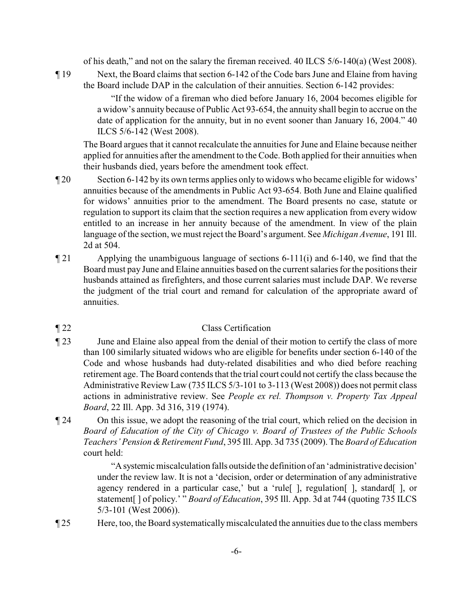of his death," and not on the salary the fireman received. 40 ILCS 5/6-140(a) (West 2008).

¶ 19 Next, the Board claims that section 6-142 of the Code bars June and Elaine from having the Board include DAP in the calculation of their annuities. Section 6-142 provides:

> "If the widow of a fireman who died before January 16, 2004 becomes eligible for a widow's annuity because of Public Act 93-654, the annuity shall begin to accrue on the date of application for the annuity, but in no event sooner than January 16, 2004." 40 ILCS 5/6-142 (West 2008).

The Board argues that it cannot recalculate the annuities for June and Elaine because neither applied for annuities after the amendment to the Code. Both applied for their annuities when their husbands died, years before the amendment took effect.

- ¶ 20 Section 6-142 by its own terms applies only to widows who became eligible for widows' annuities because of the amendments in Public Act 93-654. Both June and Elaine qualified for widows' annuities prior to the amendment. The Board presents no case, statute or regulation to support its claim that the section requires a new application from every widow entitled to an increase in her annuity because of the amendment. In view of the plain language of the section, we must reject the Board's argument. See *Michigan Avenue*, 191 Ill. 2d at 504.
- ¶ 21 Applying the unambiguous language of sections 6-111(i) and 6-140, we find that the Board must pay June and Elaine annuities based on the current salaries for the positions their husbands attained as firefighters, and those current salaries must include DAP. We reverse the judgment of the trial court and remand for calculation of the appropriate award of annuities.

## ¶ 22 Class Certification

- ¶ 23 June and Elaine also appeal from the denial of their motion to certify the class of more than 100 similarly situated widows who are eligible for benefits under section 6-140 of the Code and whose husbands had duty-related disabilities and who died before reaching retirement age. The Board contends that the trial court could not certify the class because the Administrative Review Law (735 ILCS 5/3-101 to 3-113 (West 2008)) does not permit class actions in administrative review. See *People ex rel. Thompson v. Property Tax Appeal Board*, 22 Ill. App. 3d 316, 319 (1974).
- ¶ 24 On this issue, we adopt the reasoning of the trial court, which relied on the decision in *Board of Education of the City of Chicago v. Board of Trustees of the Public Schools Teachers' Pension &Retirement Fund*, 395 Ill. App. 3d 735 (2009). The *Board of Education* court held:

"Asystemic miscalculation falls outside the definition of an 'administrative decision' under the review law. It is not a 'decision, order or determination of any administrative agency rendered in a particular case,' but a 'rule[ ], regulation[ ], standard[ ], or statement[ ] of policy.' " *Board of Education*, 395 Ill. App. 3d at 744 (quoting 735 ILCS 5/3-101 (West 2006)).

¶ 25 Here, too, the Board systematicallymiscalculated the annuities due to the class members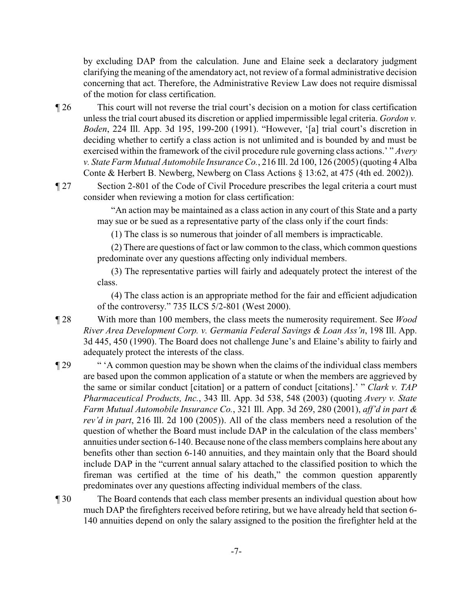by excluding DAP from the calculation. June and Elaine seek a declaratory judgment clarifying the meaning of the amendatory act, not review of a formal administrative decision concerning that act. Therefore, the Administrative Review Law does not require dismissal of the motion for class certification.

- ¶ 26 This court will not reverse the trial court's decision on a motion for class certification unless the trial court abused its discretion or applied impermissible legal criteria. *Gordon v. Boden*, 224 Ill. App. 3d 195, 199-200 (1991). "However, '[a] trial court's discretion in deciding whether to certify a class action is not unlimited and is bounded by and must be exercised within the framework of the civil procedure rule governing class actions.' " *Avery v. State Farm Mutual Automobile InsuranceCo.*, 216 Ill. 2d 100, 126 (2005) (quoting 4 Alba Conte & Herbert B. Newberg, Newberg on Class Actions § 13:62, at 475 (4th ed. 2002)).
- ¶ 27 Section 2-801 of the Code of Civil Procedure prescribes the legal criteria a court must consider when reviewing a motion for class certification:

"An action may be maintained as a class action in any court of this State and a party may sue or be sued as a representative party of the class only if the court finds:

(1) The class is so numerous that joinder of all members is impracticable.

(2) There are questions of fact or law common to the class, which common questions predominate over any questions affecting only individual members.

(3) The representative parties will fairly and adequately protect the interest of the class.

(4) The class action is an appropriate method for the fair and efficient adjudication of the controversy." 735 ILCS 5/2-801 (West 2000).

- ¶ 28 With more than 100 members, the class meets the numerosity requirement. See *Wood River Area Development Corp. v. Germania Federal Savings & Loan Ass'n*, 198 Ill. App. 3d 445, 450 (1990). The Board does not challenge June's and Elaine's ability to fairly and adequately protect the interests of the class.
- ¶ 29 " 'A common question may be shown when the claims of the individual class members are based upon the common application of a statute or when the members are aggrieved by the same or similar conduct [citation] or a pattern of conduct [citations].' " *Clark v. TAP Pharmaceutical Products, Inc.*, 343 Ill. App. 3d 538, 548 (2003) (quoting *Avery v. State Farm Mutual Automobile Insurance Co.*, 321 Ill. App. 3d 269, 280 (2001), *aff'd in part & rev'd in part*, 216 Ill. 2d 100 (2005)). All of the class members need a resolution of the question of whether the Board must include DAP in the calculation of the class members' annuities under section 6-140. Because none of the class members complains here about any benefits other than section 6-140 annuities, and they maintain only that the Board should include DAP in the "current annual salary attached to the classified position to which the fireman was certified at the time of his death," the common question apparently predominates over any questions affecting individual members of the class.
- ¶ 30 The Board contends that each class member presents an individual question about how much DAP the firefighters received before retiring, but we have already held that section 6- 140 annuities depend on only the salary assigned to the position the firefighter held at the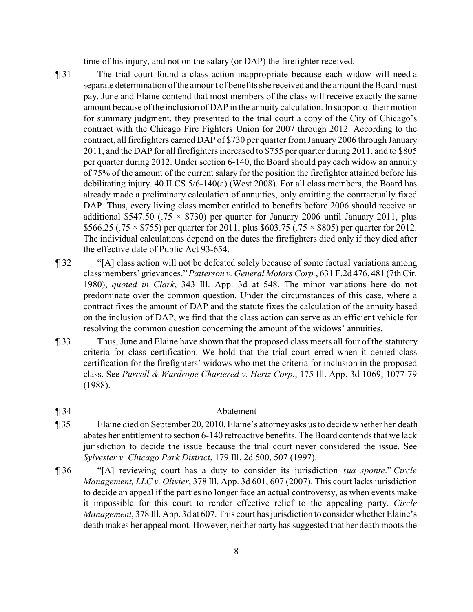time of his injury, and not on the salary (or DAP) the firefighter received.

- ¶ 31 The trial court found a class action inappropriate because each widow will need a separate determination of the amount of benefits she received and the amount the Board must pay. June and Elaine contend that most members of the class will receive exactly the same amount because of the inclusion of DAP in the annuity calculation. In support of their motion for summary judgment, they presented to the trial court a copy of the City of Chicago's contract with the Chicago Fire Fighters Union for 2007 through 2012. According to the contract, all firefighters earned DAP of \$730 per quarter from January 2006 through January 2011, and the DAP for all firefighters increased to \$755 per quarter during 2011, and to \$805 per quarter during 2012. Under section 6-140, the Board should pay each widow an annuity of 75% of the amount of the current salary for the position the firefighter attained before his debilitating injury. 40 ILCS 5/6-140(a) (West 2008). For all class members, the Board has already made a preliminary calculation of annuities, only omitting the contractually fixed DAP. Thus, every living class member entitled to benefits before 2006 should receive an additional \$547.50 (.75  $\times$  \$730) per quarter for January 2006 until January 2011, plus \$566.25 (.75  $\times$  \$755) per quarter for 2011, plus \$603.75 (.75  $\times$  \$805) per quarter for 2012. The individual calculations depend on the dates the firefighters died only if they died after the effective date of Public Act 93-654.
- ¶ 32 "[A] class action will not be defeated solely because of some factual variations among class members' grievances."*Patterson v. General Motors Corp.*, 631 F.2d 476, 481 (7th Cir. 1980), *quoted in Clark*, 343 Ill. App. 3d at 548. The minor variations here do not predominate over the common question. Under the circumstances of this case, where a contract fixes the amount of DAP and the statute fixes the calculation of the annuity based on the inclusion of DAP, we find that the class action can serve as an efficient vehicle for resolving the common question concerning the amount of the widows' annuities.
- ¶ 33 Thus, June and Elaine have shown that the proposed class meets all four of the statutory criteria for class certification. We hold that the trial court erred when it denied class certification for the firefighters' widows who met the criteria for inclusion in the proposed class. See *Purcell & Wardrope Chartered v. Hertz Corp.*, 175 Ill. App. 3d 1069, 1077-79 (1988).
- ¶ 34 Abatement

- ¶ 35 Elaine died on September 20, 2010. Elaine's attorneyasks us to decide whether her death abates her entitlement to section 6-140 retroactive benefits. The Board contends that we lack jurisdiction to decide the issue because the trial court never considered the issue. See *Sylvester v. Chicago Park District*, 179 Ill. 2d 500, 507 (1997).
- ¶ 36 "[A] reviewing court has a duty to consider its jurisdiction *sua sponte*." *Circle Management, LLC v. Olivier*, 378 Ill. App. 3d 601, 607 (2007). This court lacks jurisdiction to decide an appeal if the parties no longer face an actual controversy, as when events make it impossible for this court to render effective relief to the appealing party. *Circle Management*, 378 Ill. App. 3d at 607. This court has jurisdiction to consider whether Elaine's death makes her appeal moot. However, neither party has suggested that her death moots the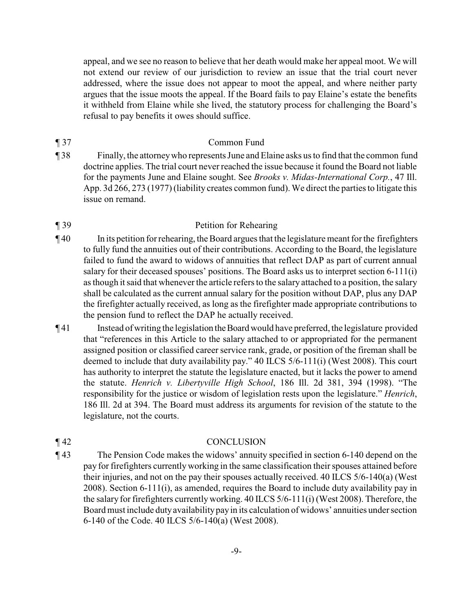appeal, and we see no reason to believe that her death would make her appeal moot. We will not extend our review of our jurisdiction to review an issue that the trial court never addressed, where the issue does not appear to moot the appeal, and where neither party argues that the issue moots the appeal. If the Board fails to pay Elaine's estate the benefits it withheld from Elaine while she lived, the statutory process for challenging the Board's refusal to pay benefits it owes should suffice.

- ¶ 37 Common Fund
- ¶ 38 Finally, the attorneywho represents June and Elaine asks us to find that the common fund doctrine applies. The trial court never reached the issue because it found the Board not liable for the payments June and Elaine sought. See *Brooks v. Midas-International Corp.*, 47 Ill. App. 3d 266, 273 (1977) (liability creates common fund). We direct the parties to litigate this issue on remand.

# ¶ 39 Petition for Rehearing

- ¶ 40 In its petition for rehearing, the Board argues that the legislature meant for the firefighters to fully fund the annuities out of their contributions. According to the Board, the legislature failed to fund the award to widows of annuities that reflect DAP as part of current annual salary for their deceased spouses' positions. The Board asks us to interpret section 6-111(i) as though it said that whenever the article refers to the salary attached to a position, the salary shall be calculated as the current annual salary for the position without DAP, plus any DAP the firefighter actually received, as long as the firefighter made appropriate contributions to the pension fund to reflect the DAP he actually received.
- ¶ 41 Instead of writing the legislation theBoard would have preferred, the legislature provided that "references in this Article to the salary attached to or appropriated for the permanent assigned position or classified career service rank, grade, or position of the fireman shall be deemed to include that duty availability pay." 40 ILCS 5/6-111(i) (West 2008). This court has authority to interpret the statute the legislature enacted, but it lacks the power to amend the statute. *Henrich v. Libertyville High School*, 186 Ill. 2d 381, 394 (1998). "The responsibility for the justice or wisdom of legislation rests upon the legislature." *Henrich*, 186 Ill. 2d at 394. The Board must address its arguments for revision of the statute to the legislature, not the courts.

# ¶ 42 CONCLUSION

¶ 43 The Pension Code makes the widows' annuity specified in section 6-140 depend on the pay for firefighters currently working in the same classification their spouses attained before their injuries, and not on the pay their spouses actually received. 40 ILCS 5/6-140(a) (West 2008). Section 6-111(i), as amended, requires the Board to include duty availability pay in the salary for firefighters currently working. 40 ILCS 5/6-111(i) (West 2008). Therefore, the Board must include dutyavailabilitypayin its calculation of widows' annuities under section 6-140 of the Code. 40 ILCS 5/6-140(a) (West 2008).